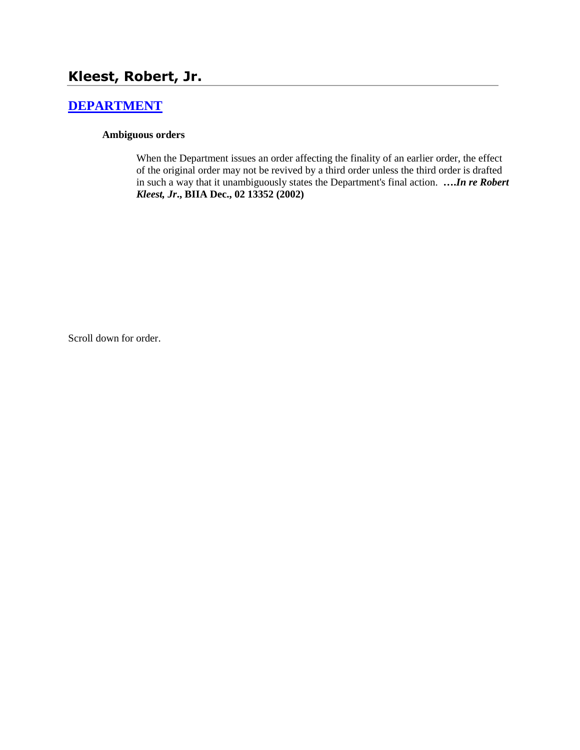# **Kleest, Robert, Jr.**

# **[DEPARTMENT](http://www.biia.wa.gov/SDSubjectIndex.html#DEPARTMENT)**

#### **Ambiguous orders**

When the Department issues an order affecting the finality of an earlier order, the effect of the original order may not be revived by a third order unless the third order is drafted in such a way that it unambiguously states the Department's final action. **….***In re Robert Kleest, Jr***., BIIA Dec., 02 13352 (2002)**

Scroll down for order.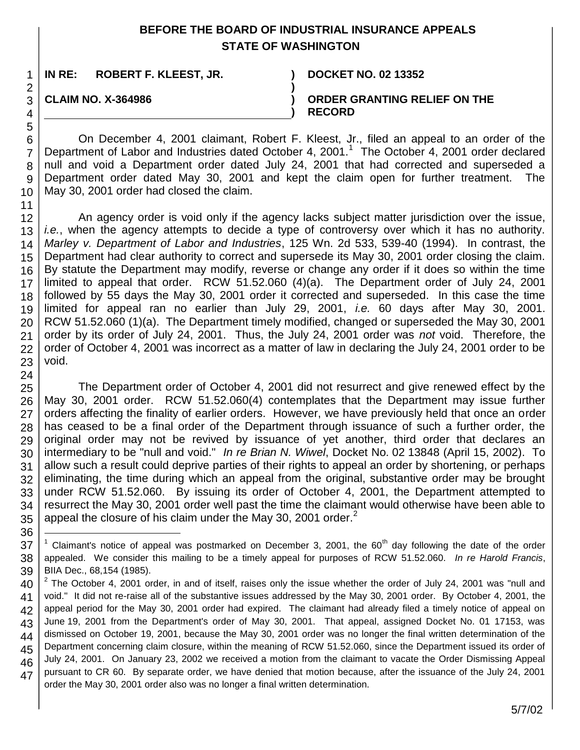## **BEFORE THE BOARD OF INDUSTRIAL INSURANCE APPEALS STATE OF WASHINGTON**

**IN RE: ROBERT F. KLEEST, JR. ) DOCKET NO. 02 13352**

**CLAIM NO. X-364986 )**

**ORDER GRANTING RELIEF ON THE RECORD**

On December 4, 2001 claimant, Robert F. Kleest, Jr., filed an appeal to an order of the Department of Labor and Industries dated October 4, 2001.<sup>1</sup> The October 4, 2001 order declared null and void a Department order dated July 24, 2001 that had corrected and superseded a Department order dated May 30, 2001 and kept the claim open for further treatment. The May 30, 2001 order had closed the claim.

**)**

**)**

An agency order is void only if the agency lacks subject matter jurisdiction over the issue, *i.e.*, when the agency attempts to decide a type of controversy over which it has no authority. *Marley v. Department of Labor and Industries*, 125 Wn. 2d 533, 539-40 (1994). In contrast, the Department had clear authority to correct and supersede its May 30, 2001 order closing the claim. By statute the Department may modify, reverse or change any order if it does so within the time limited to appeal that order. RCW 51.52.060 (4)(a). The Department order of July 24, 2001 followed by 55 days the May 30, 2001 order it corrected and superseded. In this case the time limited for appeal ran no earlier than July 29, 2001, *i.e.* 60 days after May 30, 2001. RCW 51.52.060 (1)(a). The Department timely modified, changed or superseded the May 30, 2001 order by its order of July 24, 2001. Thus, the July 24, 2001 order was *not* void. Therefore, the order of October 4, 2001 was incorrect as a matter of law in declaring the July 24, 2001 order to be void.

26 27 28 29 30 31 32 33 34 35 The Department order of October 4, 2001 did not resurrect and give renewed effect by the May 30, 2001 order. RCW 51.52.060(4) contemplates that the Department may issue further orders affecting the finality of earlier orders. However, we have previously held that once an order has ceased to be a final order of the Department through issuance of such a further order, the original order may not be revived by issuance of yet another, third order that declares an intermediary to be "null and void." *In re Brian N. Wiwel*, Docket No. 02 13848 (April 15, 2002). To allow such a result could deprive parties of their rights to appeal an order by shortening, or perhaps eliminating, the time during which an appeal from the original, substantive order may be brought under RCW 51.52.060. By issuing its order of October 4, 2001, the Department attempted to resurrect the May 30, 2001 order well past the time the claimant would otherwise have been able to appeal the closure of his claim under the May 30, 2001 order. $<sup>2</sup>$ </sup>

36

l

<sup>37</sup> 38 39 <sup>1</sup> Claimant's notice of appeal was postmarked on December 3, 2001, the 60<sup>th</sup> day following the date of the order appealed. We consider this mailing to be a timely appeal for purposes of RCW 51.52.060. *In re Harold Francis*, BIIA Dec., 68,154 (1985).

<sup>40</sup> 41 42 43 44 45 46 47  $2$  The October 4, 2001 order, in and of itself, raises only the issue whether the order of July 24, 2001 was "null and void." It did not re-raise all of the substantive issues addressed by the May 30, 2001 order. By October 4, 2001, the appeal period for the May 30, 2001 order had expired. The claimant had already filed a timely notice of appeal on June 19, 2001 from the Department's order of May 30, 2001. That appeal, assigned Docket No. 01 17153, was dismissed on October 19, 2001, because the May 30, 2001 order was no longer the final written determination of the Department concerning claim closure, within the meaning of RCW 51.52.060, since the Department issued its order of July 24, 2001. On January 23, 2002 we received a motion from the claimant to vacate the Order Dismissing Appeal pursuant to CR 60. By separate order, we have denied that motion because, after the issuance of the July 24, 2001 order the May 30, 2001 order also was no longer a final written determination.